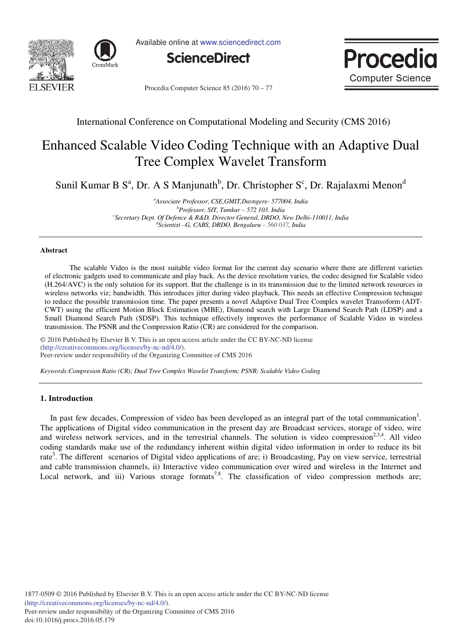



Available online at www.sciencedirect.com





Procedia Computer Science 85 (2016) 70 - 77

# International Conference on Computational Modeling and Security (CMS 2016)

# Enhanced Scalable Video Coding Technique with an Adaptive Dual Tree Complex Wavelet Transform

Sunil Kumar B  $S^a$ , Dr. A S Manjunath<sup>b</sup>, Dr. Christopher  $S^c$ , Dr. Rajalaxmi Menon<sup>d</sup>

*<sup>a</sup>Associate Professor, CSE,GMIT,Davngere- 577004, India <sup>b</sup>Professor, SIT, Tumkur ± 572 103, India c Secretary Dept. Of Defence & R&D, Director General, DRDO, New Delhi-110011, India d Scientist ±G, CABS, DRDO, Bengaluru ± 560 037, India* 

### **Abstract**

The scalable Video is the most suitable video format for the current day scenario where there are different varieties of electronic gadgets used to communicate and play back. As the device resolution varies, the codec designed for Scalable video (H.264/AVC) is the only solution for its support. But the challenge is in its transmission due to the limited network resources in wireless networks viz; bandwidth. This introduces jitter during video playback. This needs an effective Compression technique to reduce the possible transmission time. The paper presents a novel Adaptive Dual Tree Complex wavelet Transoform (ADT-CWT) using the efficient Motion Block Estimation (MBE), Diamond search with Large Diamond Search Path (LDSP) and a Small Diamond Search Path (SDSP). This technique effectively improves the performance of Scalable Video in wireless transmission. The PSNR and the Compression Ratio (CR) are considered for the comparison.

© 2016 Published by Elsevier B.V. This is an open access article under the CC BY-NC-ND license  $\frac{1}{2}$  and  $\frac{1}{2}$  and  $\frac{1}{2}$  and  $\frac{1}{2}$  and  $\frac{1}{2}$  and  $\frac{1}{2}$  and  $\frac{1}{2}$  and  $\frac{1}{2}$  and  $\frac{1}{2}$  and  $\frac{1}{2}$  and  $\frac{1}{2}$  and  $\frac{1}{2}$  and  $\frac{1}{2}$  and  $\frac{1}{2}$  and  $\frac{1}{2}$  and  $\frac{1}{2}$  a Peer-review under responsibility of the Organizing Committee of CMS 2016

*Keywords:Compresion Ratio (CR); Dual Tree Complex Wavelet Transform; PSNR; Scalable Video Coding*

# **1. Introduction**

In past few decades, Compression of video has been developed as an integral part of the total communication<sup>1</sup>. The applications of Digital video communication in the present day are Broadcast services, storage of video, wire and wireless network services, and in the terrestrial channels. The solution is video compression<sup>2,3,4</sup>. All video coding standards make use of the redundancy inherent within digital video information in order to reduce its bit rate<sup>5</sup>. The different scenarios of Digital video applications of are; i) Broadcasting, Pay on view service, terrestrial and cable transmission channels, ii) Interactive video communication over wired and wireless in the Internet and Local network, and iii) Various storage formats<sup>7,8</sup>. The classification of video compression methods are;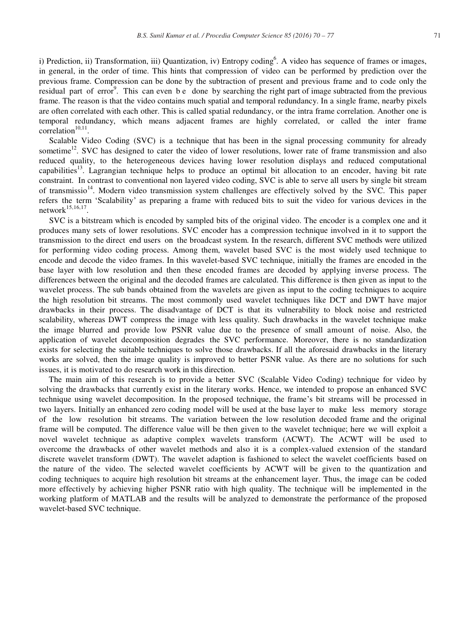i) Prediction, ii) Transformation, iii) Quantization, iv) Entropy coding<sup>6</sup>. A video has sequence of frames or images, in general, in the order of time. This hints that compression of video can be performed by prediction over the previous frame. Compression can be done by the subtraction of present and previous frame and to code only the residual part of error<sup>9</sup>. This can even b e done by searching the right part of image subtracted from the previous frame. The reason is that the video contains much spatial and temporal redundancy. In a single frame, nearby pixels are often correlated with each other. This is called spatial redundancy, or the intra frame correlation. Another one is temporal redundancy, which means adjacent frames are highly correlated, or called the inter frame  $correlation^{10,11}$ .

Scalable Video Coding (SVC) is a technique that has been in the signal processing community for already sometime<sup>12</sup>. SVC has designed to cater the video of lower resolutions, lower rate of frame transmission and also reduced quality, to the heterogeneous devices having lower resolution displays and reduced computational capabilities<sup>13</sup>. Lagrangian technique helps to produce an optimal bit allocation to an encoder, having bit rate constraint. In contrast to conventional non layered video coding, SVC is able to serve all users by single bit stream of transmissio<sup>14</sup>. Modern video transmission system challenges are effectively solved by the SVC. This paper refers the term 'Scalability' as preparing a frame with reduced bits to suit the video for various devices in the networ $k^{15,16,17}$ .

SVC is a bitstream which is encoded by sampled bits of the original video. The encoder is a complex one and it produces many sets of lower resolutions. SVC encoder has a compression technique involved in it to support the transmission to the direct end users on the broadcast system. In the research, different SVC methods were utilized for performing video coding process. Among them, wavelet based SVC is the most widely used technique to encode and decode the video frames. In this wavelet-based SVC technique, initially the frames are encoded in the base layer with low resolution and then these encoded frames are decoded by applying inverse process. The differences between the original and the decoded frames are calculated. This difference is then given as input to the wavelet process. The sub bands obtained from the wavelets are given as input to the coding techniques to acquire the high resolution bit streams. The most commonly used wavelet techniques like DCT and DWT have major drawbacks in their process. The disadvantage of DCT is that its vulnerability to block noise and restricted scalability, whereas DWT compress the image with less quality. Such drawbacks in the wavelet technique make the image blurred and provide low PSNR value due to the presence of small amount of noise. Also, the application of wavelet decomposition degrades the SVC performance. Moreover, there is no standardization exists for selecting the suitable techniques to solve those drawbacks. If all the aforesaid drawbacks in the literary works are solved, then the image quality is improved to better PSNR value. As there are no solutions for such issues, it is motivated to do research work in this direction.

The main aim of this research is to provide a better SVC (Scalable Video Coding) technique for video by solving the drawbacks that currently exist in the literary works. Hence, we intended to propose an enhanced SVC technique using wavelet decomposition. In the proposed technique, the frame's bit streams will be processed in two layers. Initially an enhanced zero coding model will be used at the base layer to make less memory storage of the low resolution bit streams. The variation between the low resolution decoded frame and the original frame will be computed. The difference value will be then given to the wavelet technique; here we will exploit a novel wavelet technique as adaptive complex wavelets transform (ACWT). The ACWT will be used to overcome the drawbacks of other wavelet methods and also it is a complex-valued extension of the standard discrete wavelet transform (DWT). The wavelet adaption is fashioned to select the wavelet coefficients based on the nature of the video. The selected wavelet coefficients by ACWT will be given to the quantization and coding techniques to acquire high resolution bit streams at the enhancement layer. Thus, the image can be coded more effectively by achieving higher PSNR ratio with high quality. The technique will be implemented in the working platform of MATLAB and the results will be analyzed to demonstrate the performance of the proposed wavelet-based SVC technique.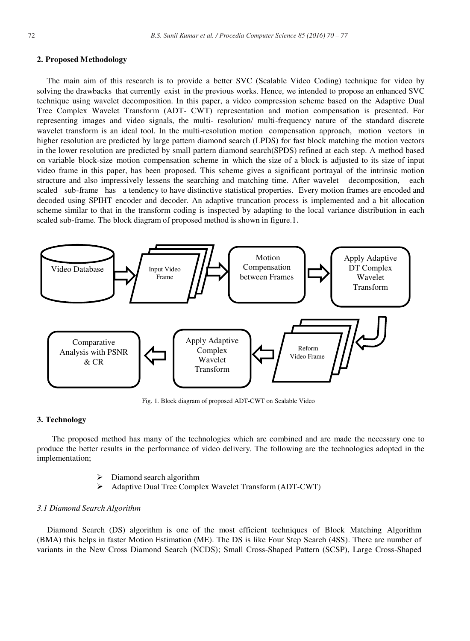# **2. Proposed Methodology**

The main aim of this research is to provide a better SVC (Scalable Video Coding) technique for video by solving the drawbacks that currently exist in the previous works. Hence, we intended to propose an enhanced SVC technique using wavelet decomposition. In this paper, a video compression scheme based on the Adaptive Dual Tree Complex Wavelet Transform (ADT- CWT) representation and motion compensation is presented. For representing images and video signals, the multi- resolution/ multi-frequency nature of the standard discrete wavelet transform is an ideal tool. In the multi-resolution motion compensation approach, motion vectors in higher resolution are predicted by large pattern diamond search (LPDS) for fast block matching the motion vectors in the lower resolution are predicted by small pattern diamond search(SPDS) refined at each step. A method based on variable block-size motion compensation scheme in which the size of a block is adjusted to its size of input video frame in this paper, has been proposed. This scheme gives a significant portrayal of the intrinsic motion structure and also impressively lessens the searching and matching time. After wavelet decomposition, each scaled sub-frame has a tendency to have distinctive statistical properties. Every motion frames are encoded and decoded using SPIHT encoder and decoder. An adaptive truncation process is implemented and a bit allocation scheme similar to that in the transform coding is inspected by adapting to the local variance distribution in each scaled sub-frame. The block diagram of proposed method is shown in figure.1.



Fig. 1. Block diagram of proposed ADT-CWT on Scalable Video

#### **3. Technology**

The proposed method has many of the technologies which are combined and are made the necessary one to produce the better results in the performance of video delivery. The following are the technologies adopted in the implementation;

- Diamond search algorithm
- ¾ Adaptive Dual Tree Complex Wavelet Transform (ADT-CWT)

#### *3.1 Diamond Search Algorithm*

Diamond Search (DS) algorithm is one of the most efficient techniques of Block Matching Algorithm (BMA) this helps in faster Motion Estimation (ME). The DS is like Four Step Search (4SS). There are number of variants in the New Cross Diamond Search (NCDS); Small Cross-Shaped Pattern (SCSP), Large Cross-Shaped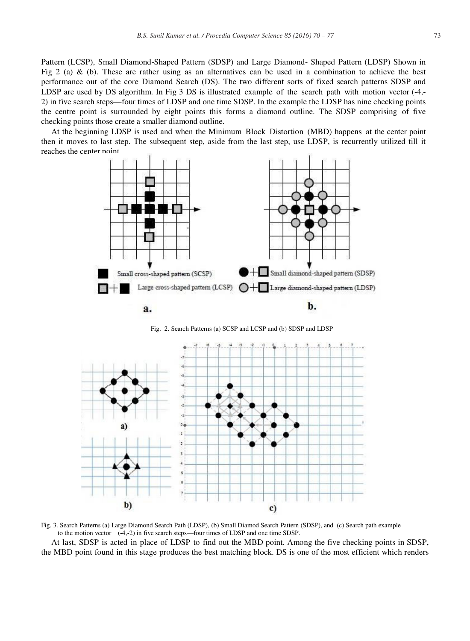Pattern (LCSP), Small Diamond-Shaped Pattern (SDSP) and Large Diamond- Shaped Pattern (LDSP) Shown in Fig 2 (a) & (b). These are rather using as an alternatives can be used in a combination to achieve the best performance out of the core Diamond Search (DS). The two different sorts of fixed search patterns SDSP and LDSP are used by DS algorithm. In Fig 3 DS is illustrated example of the search path with motion vector (-4,- 2) in five search steps—four times of LDSP and one time SDSP. In the example the LDSP has nine checking points the centre point is surrounded by eight points this forms a diamond outline. The SDSP comprising of five checking points those create a smaller diamond outline.

At the beginning LDSP is used and when the Minimum Block Distortion (MBD) happens at the center point then it moves to last step. The subsequent step, aside from the last step, use LDSP, is recurrently utilized till it reaches the center point.



Fig. 2. Search Patterns (a) SCSP and LCSP and (b) SDSP and LDSP



Fig. 3. Search Patterns (a) Large Diamond Search Path (LDSP), (b) Small Diamod Search Pattern (SDSP), and (c) Search path example to the motion vector  $(-4,-2)$  in five search steps—four times of LDSP and one time SDSP.

At last, SDSP is acted in place of LDSP to find out the MBD point. Among the five checking points in SDSP, the MBD point found in this stage produces the best matching block. DS is one of the most efficient which renders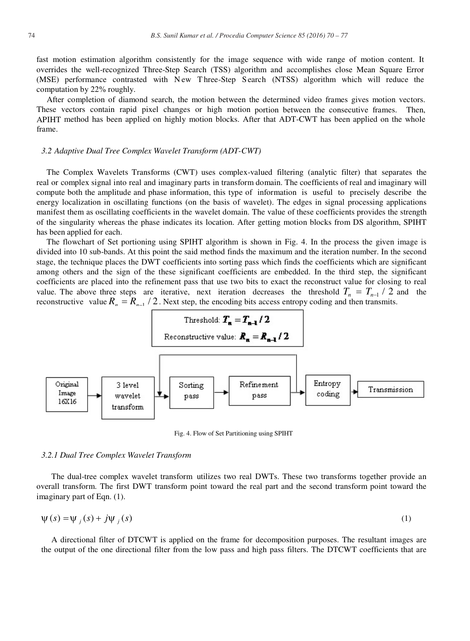fast motion estimation algorithm consistently for the image sequence with wide range of motion content. It overrides the well-recognized Three-Step Search (TSS) algorithm and accomplishes close Mean Square Error (MSE) performance contrasted with New Three-Step Search (NTSS) algorithm which will reduce the computation by 22% roughly.

After completion of diamond search, the motion between the determined video frames gives motion vectors. These vectors contain rapid pixel changes or high motion portion between the consecutive frames. Then, APIHT method has been applied on highly motion blocks. After that ADT-CWT has been applied on the whole frame.

# *3.2 Adaptive Dual Tree Complex Wavelet Transform (ADT-CWT)*

The Complex Wavelets Transforms (CWT) uses complex-valued filtering (analytic filter) that separates the real or complex signal into real and imaginary parts in transform domain. The coefficients of real and imaginary will compute both the amplitude and phase information, this type of information is useful to precisely describe the energy localization in oscillating functions (on the basis of wavelet). The edges in signal processing applications manifest them as oscillating coefficients in the wavelet domain. The value of these coefficients provides the strength of the singularity whereas the phase indicates its location. After getting motion blocks from DS algorithm, SPIHT has been applied for each.

The flowchart of Set portioning using SPIHT algorithm is shown in Fig. 4. In the process the given image is divided into 10 sub-bands. At this point the said method finds the maximum and the iteration number. In the second stage, the technique places the DWT coefficients into sorting pass which finds the coefficients which are significant among others and the sign of the these significant coefficients are embedded. In the third step, the significant coefficients are placed into the refinement pass that use two bits to exact the reconstruct value for closing to real value. The above three steps are iterative, next iteration decreases the threshold  $T_n = T_{n-1} / 2$  and the reconstructive value  $R_n = R_{n-1} / 2$ . Next step, the encoding bits access entropy coding and then transmits.



Fig. 4. Flow of Set Partitioning using SPIHT

# *3.2.1 Dual Tree Complex Wavelet Transform*

The dual-tree complex wavelet transform utilizes two real DWTs. These two transforms together provide an overall transform. The first DWT transform point toward the real part and the second transform point toward the imaginary part of Eqn. (1).

$$
\psi(s) = \psi_j(s) + j\psi_j(s)
$$
 (1)

A directional filter of DTCWT is applied on the frame for decomposition purposes. The resultant images are the output of the one directional filter from the low pass and high pass filters. The DTCWT coefficients that are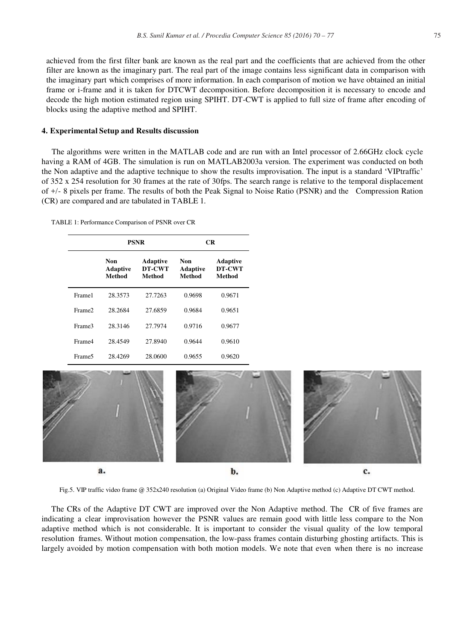achieved from the first filter bank are known as the real part and the coefficients that are achieved from the other filter are known as the imaginary part. The real part of the image contains less significant data in comparison with the imaginary part which comprises of more information. In each comparison of motion we have obtained an initial frame or i-frame and it is taken for DTCWT decomposition. Before decomposition it is necessary to encode and decode the high motion estimated region using SPIHT. DT-CWT is applied to full size of frame after encoding of blocks using the adaptive method and SPIHT.

# **4. Experimental Setup and Results discussion**

The algorithms were written in the MATLAB code and are run with an Intel processor of 2.66GHz clock cycle having a RAM of 4GB. The simulation is run on MATLAB2003a version. The experiment was conducted on both the Non adaptive and the adaptive technique to show the results improvisation. The input is a standard 'VIPtraffic' of 352 x 254 resolution for 30 frames at the rate of 30fps. The search range is relative to the temporal displacement of +/- 8 pixels per frame. The results of both the Peak Signal to Noise Ratio (PSNR) and the Compression Ration (CR) are compared and are tabulated in TABLE 1.

TABLE 1: Performance Comparison of PSNR over CR

|                    | <b>PSNR</b>                      |                                     | CR.                              |                                            |
|--------------------|----------------------------------|-------------------------------------|----------------------------------|--------------------------------------------|
|                    | Non<br><b>Adaptive</b><br>Method | <b>Adaptive</b><br>DT-CWT<br>Method | Non<br><b>Adaptive</b><br>Method | <b>Adaptive</b><br>DT-CWT<br><b>Method</b> |
| Frame1             | 28.3573                          | 27.7263                             | 0.9698                           | 0.9671                                     |
| Frame <sub>2</sub> | 28.2684                          | 27.6859                             | 0.9684                           | 0.9651                                     |
| Frame3             | 28.3146                          | 27.7974                             | 0.9716                           | 0.9677                                     |
| Frame4             | 28.4549                          | 27.8940                             | 0.9644                           | 0.9610                                     |
| Frame5             | 28.4269                          | 28.0600                             | 0.9655                           | 0.9620                                     |



Fig.5. VIP traffic video frame @ 352x240 resolution (a) Original Video frame (b) Non Adaptive method (c) Adaptive DT CWT method.

The CRs of the Adaptive DT CWT are improved over the Non Adaptive method. The CR of five frames are indicating a clear improvisation however the PSNR values are remain good with little less compare to the Non adaptive method which is not considerable. It is important to consider the visual quality of the low temporal resolution frames. Without motion compensation, the low-pass frames contain disturbing ghosting artifacts. This is largely avoided by motion compensation with both motion models. We note that even when there is no increase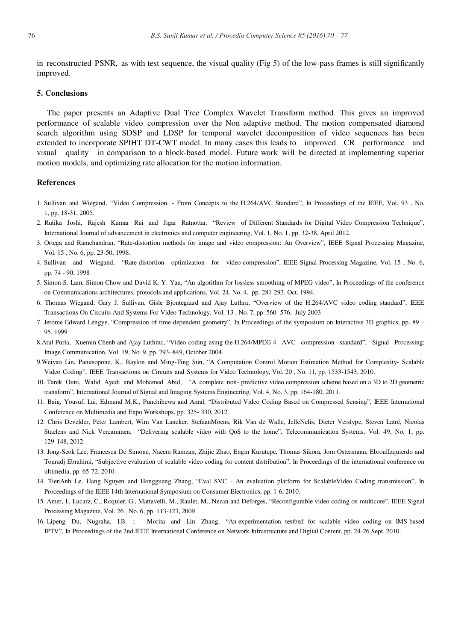in reconstructed PSNR, as with test sequence, the visual quality (Fig 5) of the low-pass frames is still significantly improved.

# **5. Conclusions**

The paper presents an Adaptive Dual Tree Complex Wavelet Transform method. This gives an improved performance of scalable video compression over the Non adaptive method. The motion compensated diamond search algorithm using SDSP and LDSP for temporal wavelet decomposition of video sequences has been extended to incorporate SPIHT DT-CWT model. In many cases this leads to improved CR performance and visual quality in comparison to a block-based model. Future work will be directed at implementing superior motion models, and optimizing rate allocation for the motion information.

#### **References**

- 1. Sullivan and Wiegand, "Video Compression From Concepts to the H.264/AVC Standard", In Proceedings of the IEEE, Vol. 93, No. 1, pp. 18-31, 2005.
- 2. Rutika Joshi, Rajesh Kumar Rai and Jigar Ratnottar, "Review of Different Standards for Digital Video Compression Technique", International Journal of advancement in electronics and computer engineering, Vol. 1, No. 1, pp. 32-38, April 2012.
- 3. Ortega and Ramchandran, "Rate-distortion methods for image and video compression: An Overview", IEEE Signal Processing Magazine, Vol. 15 , No. 6, pp. 23-50, 1998.
- 4. Sullivan and Wiegand, "Rate-distortion optimization for video compression", IEEE Signal Processing Magazine, Vol. 15, No. 6, pp. 74 - 90, 1998
- 5. Simon S. Lam, Simon Chow and David K. Y. Yau, "An algorithm for lossless smoothing of MPEG video", In Proceedings of the conference on Communications architectures, protocols and applications, Vol. 24, No. 4, pp. 281-293, Oct. 1994.
- 6. Thomas Wiegand, Gary J. Sullivan, Gisle Bjontegaard and Ajay Luthra, "Overview of the H.264/AVC video coding standard", IEEE Transactions On Circuits And Systems For Video Technology, Vol. 13 , No. 7, pp. 560- 576, July 2003
- 7. Jerome Edward Lengye, "Compression of time-dependent geometry", In Proceedings of the symposium on Interactive 3D graphics, pp. 89 -95, 1999
- 8.Atul Puria, Xuemin Chenb and Ajay Luthrac, "Video-coding using the H.264/MPEG-4 AVC compression standard", Signal Processing: Image Communication, Vol. 19, No. 9, pp. 793-849, October 2004.
- 9.Weiyao Lin, Panusopone, K., Baylon and Ming-Ting Sun, "A Computation Control Motion Estimation Method for Complexity- Scalable Video Coding´, IEEE Transactions on Circuits and Systems for Video Technology, Vol. 20 , No. 11, pp. 1533-1543, 2010.
- 10. Tarek Ouni, Walid Ayedi and Mohamed Abid, "A complete non- predictive video compression scheme based on a 3D to 2D geometric transform´, International Journal of Signal and Imaging Systems Engineering, Vol. 4, No. 3, pp. 164-180, 2011.
- 11. Baig, Yousuf, Lai, Edmund M.K., Punchihewa and Amal, "Distributed Video Coding Based on Compressed Sensing", IEEE International Conference on Multimedia and Expo Workshops, pp. 325- 330, 2012.
- 12. Chris Develder, Peter Lambert, Wim Van Lancker, StefaanMoens, Rik Van de Walle, JelleNelis, Dieter Verslype, Steven Latré, Nicolas Staelens and Nick Vercammen, "Delivering scalable video with QoS to the home", Telecommunication Systems, Vol. 49, No. 1, pp. 129-148, 2012
- 13. Jong-Seok Lee, Francesca De Simone, Naeem Ramzan, Zhijie Zhao, Engin Kurutepe, Thomas Sikora, Jorn Ostermann, EbroulIzquierdo and Touradj Ebrahimi, "Subjective evaluation of scalable video coding for content distribution", In Proceedings of the international conference on ultimedia, pp. 65-72, 2010.
- 14. TienAnh Le, Hang Nguyen and Hongguang Zhang, "Eval SVC An evaluation platform for ScalableVideo Coding transmission", In Proceedings of the IEEE 14th International Symposium on Consumer Electronics, pp. 1-6, 2010.
- 15. Amer, I., Lucarz, C., Roquier, G., Mattavelli, M., Raulet, M., Nezan and Deforges, "Reconfigurable video coding on multicore", IEEE Signal Processing Magazine, Vol. 26 , No. 6, pp. 113-123, 2009.
- 16. Lipeng Du, Nugraha, I.B. ; Morita and Lin Zhang, "An experimentation testbed for scalable video coding on IMS-based IPTV´, In Proceedings of the 2nd IEEE International Conference on Network Infrastructure and Digital Content, pp. 24-26 Sept. 2010.